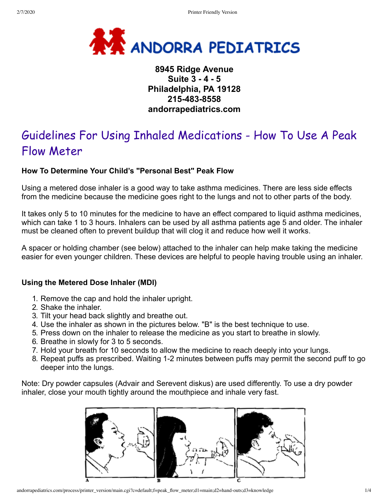

# **8945 Ridge Avenue Suite 3 - 4 - 5 Philadelphia, PA 19128 215-483-8558 andorrapediatrics.com**

# Guidelines For Using Inhaled Medications - How To Use A Peak Flow Meter

## **How To Determine Your Child's "Personal Best" Peak Flow**

Using a metered dose inhaler is a good way to take asthma medicines. There are less side effects from the medicine because the medicine goes right to the lungs and not to other parts of the body.

It takes only 5 to 10 minutes for the medicine to have an effect compared to liquid asthma medicines, which can take 1 to 3 hours. Inhalers can be used by all asthma patients age 5 and older. The inhaler must be cleaned often to prevent buildup that will clog it and reduce how well it works.

A spacer or holding chamber (see below) attached to the inhaler can help make taking the medicine easier for even younger children. These devices are helpful to people having trouble using an inhaler.

## **Using the Metered Dose Inhaler (MDI)**

- 1. Remove the cap and hold the inhaler upright.
- 2. Shake the inhaler.
- 3. Tilt your head back slightly and breathe out.
- 4. Use the inhaler as shown in the pictures below. "B" is the best technique to use.
- 5. Press down on the inhaler to release the medicine as you start to breathe in slowly.
- 6. Breathe in slowly for 3 to 5 seconds.
- 7. Hold your breath for 10 seconds to allow the medicine to reach deeply into your lungs.
- 8. Repeat puffs as prescribed. Waiting 1-2 minutes between puffs may permit the second puff to go deeper into the lungs.

Note: Dry powder capsules (Advair and Serevent diskus) are used differently. To use a dry powder inhaler, close your mouth tightly around the mouthpiece and inhale very fast.

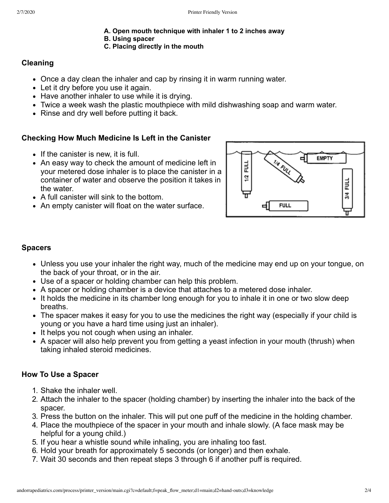- **A. Open mouth technique with inhaler 1 to 2 inches away**
- **B. Using spacer**

## **C. Placing directly in the mouth**

# **Cleaning**

- Once a day clean the inhaler and cap by rinsing it in warm running water.
- Let it dry before you use it again.
- Have another inhaler to use while it is drying.
- Twice a week wash the plastic mouthpiece with mild dishwashing soap and warm water.
- Rinse and dry well before putting it back.

# **Checking How Much Medicine Is Left in the Canister**

- $\bullet$  If the canister is new, it is full.
- An easy way to check the amount of medicine left in your metered dose inhaler is to place the canister in a container of water and observe the position it takes in the water.
- A full canister will sink to the bottom.
- An empty canister will float on the water surface.



# **Spacers**

- Unless you use your inhaler the right way, much of the medicine may end up on your tongue, on the back of your throat, or in the air.
- Use of a spacer or holding chamber can help this problem.
- A spacer or holding chamber is a device that attaches to a metered dose inhaler.
- It holds the medicine in its chamber long enough for you to inhale it in one or two slow deep breaths.
- The spacer makes it easy for you to use the medicines the right way (especially if your child is young or you have a hard time using just an inhaler).
- It helps you not cough when using an inhaler.
- A spacer will also help prevent you from getting a yeast infection in your mouth (thrush) when taking inhaled steroid medicines.

# **How To Use a Spacer**

- 1. Shake the inhaler well.
- 2. Attach the inhaler to the spacer (holding chamber) by inserting the inhaler into the back of the spacer.
- 3. Press the button on the inhaler. This will put one puff of the medicine in the holding chamber.
- 4. Place the mouthpiece of the spacer in your mouth and inhale slowly. (A face mask may be helpful for a young child.)
- 5. If you hear a whistle sound while inhaling, you are inhaling too fast.
- 6. Hold your breath for approximately 5 seconds (or longer) and then exhale.
- 7. Wait 30 seconds and then repeat steps 3 through 6 if another puff is required.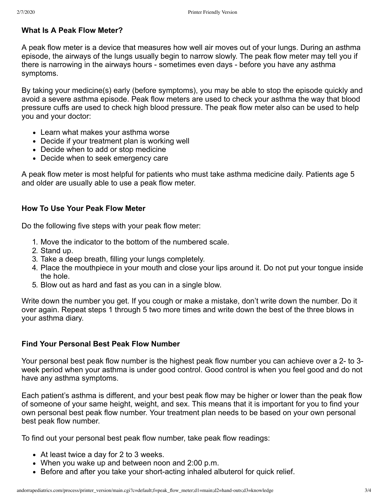## **What Is A Peak Flow Meter?**

A peak flow meter is a device that measures how well air moves out of your lungs. During an asthma episode, the airways of the lungs usually begin to narrow slowly. The peak flow meter may tell you if there is narrowing in the airways hours - sometimes even days - before you have any asthma symptoms.

By taking your medicine(s) early (before symptoms), you may be able to stop the episode quickly and avoid a severe asthma episode. Peak flow meters are used to check your asthma the way that blood pressure cuffs are used to check high blood pressure. The peak flow meter also can be used to help you and your doctor:

- Learn what makes your asthma worse
- Decide if your treatment plan is working well
- Decide when to add or stop medicine
- Decide when to seek emergency care

A peak flow meter is most helpful for patients who must take asthma medicine daily. Patients age 5 and older are usually able to use a peak flow meter.

## **How To Use Your Peak Flow Meter**

Do the following five steps with your peak flow meter:

- 1. Move the indicator to the bottom of the numbered scale.
- 2. Stand up.
- 3. Take a deep breath, filling your lungs completely.
- 4. Place the mouthpiece in your mouth and close your lips around it. Do not put your tongue inside the hole.
- 5. Blow out as hard and fast as you can in a single blow.

Write down the number you get. If you cough or make a mistake, don't write down the number. Do it over again. Repeat steps 1 through 5 two more times and write down the best of the three blows in your asthma diary.

## **Find Your Personal Best Peak Flow Number**

Your personal best peak flow number is the highest peak flow number you can achieve over a 2- to 3 week period when your asthma is under good control. Good control is when you feel good and do not have any asthma symptoms.

Each patient's asthma is different, and your best peak flow may be higher or lower than the peak flow of someone of your same height, weight, and sex. This means that it is important for you to find your own personal best peak flow number. Your treatment plan needs to be based on your own personal best peak flow number.

To find out your personal best peak flow number, take peak flow readings:

- At least twice a day for 2 to 3 weeks.
- When you wake up and between noon and 2:00 p.m.
- Before and after you take your short-acting inhaled albuterol for quick relief.